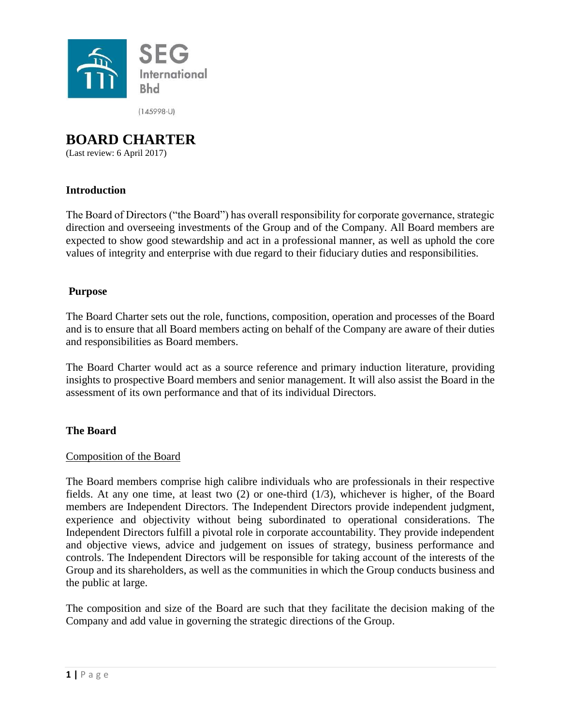

 $(145998-U)$ 

# **BOARD CHARTER**

(Last review: 6 April 2017)

# **Introduction**

The Board of Directors ("the Board") has overall responsibility for corporate governance, strategic direction and overseeing investments of the Group and of the Company. All Board members are expected to show good stewardship and act in a professional manner, as well as uphold the core values of integrity and enterprise with due regard to their fiduciary duties and responsibilities.

## **Purpose**

The Board Charter sets out the role, functions, composition, operation and processes of the Board and is to ensure that all Board members acting on behalf of the Company are aware of their duties and responsibilities as Board members.

The Board Charter would act as a source reference and primary induction literature, providing insights to prospective Board members and senior management. It will also assist the Board in the assessment of its own performance and that of its individual Directors.

# **The Board**

## Composition of the Board

The Board members comprise high calibre individuals who are professionals in their respective fields. At any one time, at least two (2) or one-third (1/3), whichever is higher, of the Board members are Independent Directors. The Independent Directors provide independent judgment, experience and objectivity without being subordinated to operational considerations. The Independent Directors fulfill a pivotal role in corporate accountability. They provide independent and objective views, advice and judgement on issues of strategy, business performance and controls. The Independent Directors will be responsible for taking account of the interests of the Group and its shareholders, as well as the communities in which the Group conducts business and the public at large.

The composition and size of the Board are such that they facilitate the decision making of the Company and add value in governing the strategic directions of the Group.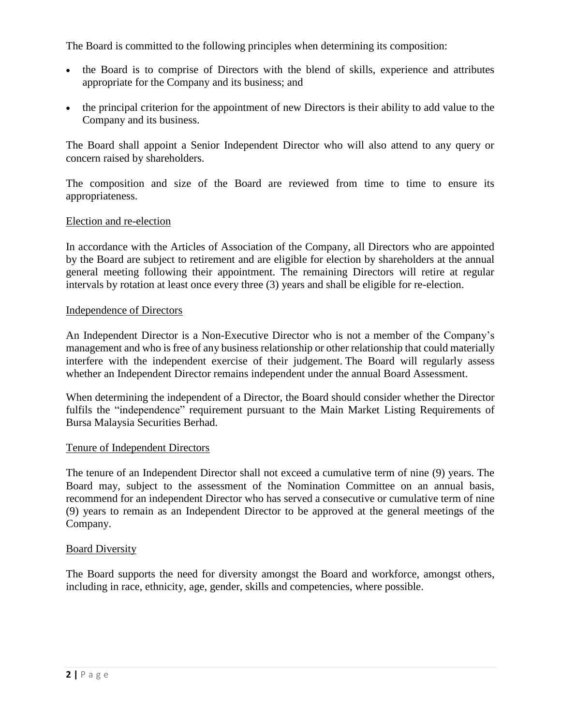The Board is committed to the following principles when determining its composition:

- the Board is to comprise of Directors with the blend of skills, experience and attributes appropriate for the Company and its business; and
- the principal criterion for the appointment of new Directors is their ability to add value to the Company and its business.

The Board shall appoint a Senior Independent Director who will also attend to any query or concern raised by shareholders.

The composition and size of the Board are reviewed from time to time to ensure its appropriateness.

## Election and re-election

In accordance with the Articles of Association of the Company, all Directors who are appointed by the Board are subject to retirement and are eligible for election by shareholders at the annual general meeting following their appointment. The remaining Directors will retire at regular intervals by rotation at least once every three (3) years and shall be eligible for re-election.

## Independence of Directors

An Independent Director is a Non-Executive Director who is not a member of the Company's management and who is free of any business relationship or other relationship that could materially interfere with the independent exercise of their judgement. The Board will regularly assess whether an Independent Director remains independent under the annual Board Assessment.

When determining the independent of a Director, the Board should consider whether the Director fulfils the "independence" requirement pursuant to the Main Market Listing Requirements of Bursa Malaysia Securities Berhad.

## Tenure of Independent Directors

The tenure of an Independent Director shall not exceed a cumulative term of nine (9) years. The Board may, subject to the assessment of the Nomination Committee on an annual basis, recommend for an independent Director who has served a consecutive or cumulative term of nine (9) years to remain as an Independent Director to be approved at the general meetings of the Company.

## **Board Diversity**

The Board supports the need for diversity amongst the Board and workforce, amongst others, including in race, ethnicity, age, gender, skills and competencies, where possible.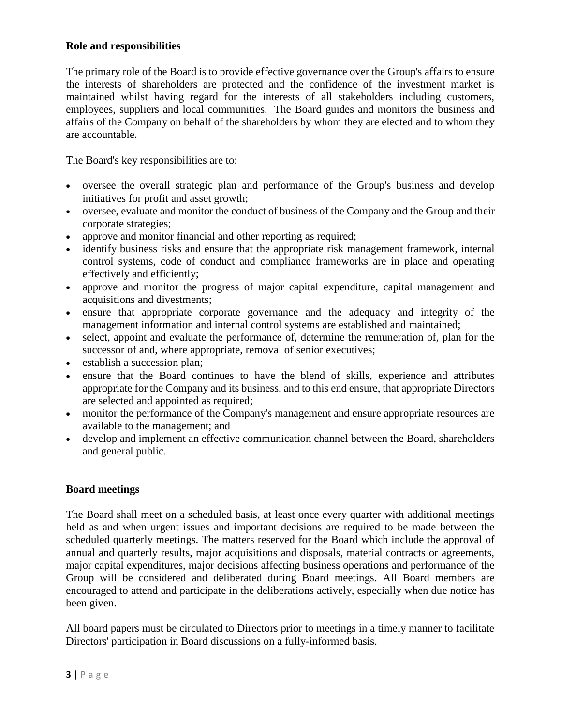## **Role and responsibilities**

The primary role of the Board is to provide effective governance over the Group's affairs to ensure the interests of shareholders are protected and the confidence of the investment market is maintained whilst having regard for the interests of all stakeholders including customers, employees, suppliers and local communities. The Board guides and monitors the business and affairs of the Company on behalf of the shareholders by whom they are elected and to whom they are accountable.

The Board's key responsibilities are to:

- oversee the overall strategic plan and performance of the Group's business and develop initiatives for profit and asset growth;
- oversee, evaluate and monitor the conduct of business of the Company and the Group and their corporate strategies;
- approve and monitor financial and other reporting as required;
- identify business risks and ensure that the appropriate risk management framework, internal control systems, code of conduct and compliance frameworks are in place and operating effectively and efficiently;
- approve and monitor the progress of major capital expenditure, capital management and acquisitions and divestments;
- ensure that appropriate corporate governance and the adequacy and integrity of the management information and internal control systems are established and maintained;
- select, appoint and evaluate the performance of, determine the remuneration of, plan for the successor of and, where appropriate, removal of senior executives;
- establish a succession plan;
- ensure that the Board continues to have the blend of skills, experience and attributes appropriate for the Company and its business, and to this end ensure, that appropriate Directors are selected and appointed as required;
- monitor the performance of the Company's management and ensure appropriate resources are available to the management; and
- develop and implement an effective communication channel between the Board, shareholders and general public.

# **Board meetings**

The Board shall meet on a scheduled basis, at least once every quarter with additional meetings held as and when urgent issues and important decisions are required to be made between the scheduled quarterly meetings. The matters reserved for the Board which include the approval of annual and quarterly results, major acquisitions and disposals, material contracts or agreements, major capital expenditures, major decisions affecting business operations and performance of the Group will be considered and deliberated during Board meetings. All Board members are encouraged to attend and participate in the deliberations actively, especially when due notice has been given.

All board papers must be circulated to Directors prior to meetings in a timely manner to facilitate Directors' participation in Board discussions on a fully-informed basis.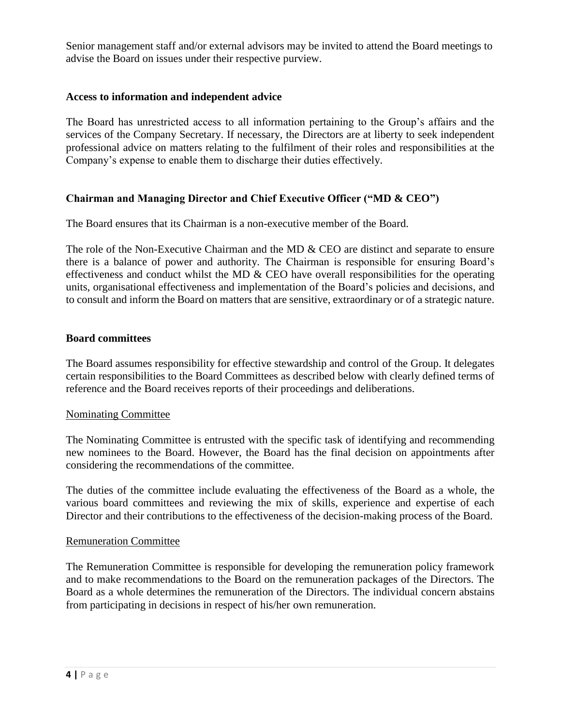Senior management staff and/or external advisors may be invited to attend the Board meetings to advise the Board on issues under their respective purview.

## **Access to information and independent advice**

The Board has unrestricted access to all information pertaining to the Group's affairs and the services of the Company Secretary. If necessary, the Directors are at liberty to seek independent professional advice on matters relating to the fulfilment of their roles and responsibilities at the Company's expense to enable them to discharge their duties effectively.

## **Chairman and Managing Director and Chief Executive Officer ("MD & CEO")**

The Board ensures that its Chairman is a non-executive member of the Board.

The role of the Non-Executive Chairman and the MD & CEO are distinct and separate to ensure there is a balance of power and authority. The Chairman is responsible for ensuring Board's effectiveness and conduct whilst the MD  $\&$  CEO have overall responsibilities for the operating units, organisational effectiveness and implementation of the Board's policies and decisions, and to consult and inform the Board on matters that are sensitive, extraordinary or of a strategic nature.

## **Board committees**

The Board assumes responsibility for effective stewardship and control of the Group. It delegates certain responsibilities to the Board Committees as described below with clearly defined terms of reference and the Board receives reports of their proceedings and deliberations.

## Nominating Committee

The Nominating Committee is entrusted with the specific task of identifying and recommending new nominees to the Board. However, the Board has the final decision on appointments after considering the recommendations of the committee.

The duties of the committee include evaluating the effectiveness of the Board as a whole, the various board committees and reviewing the mix of skills, experience and expertise of each Director and their contributions to the effectiveness of the decision-making process of the Board.

## Remuneration Committee

The Remuneration Committee is responsible for developing the remuneration policy framework and to make recommendations to the Board on the remuneration packages of the Directors. The Board as a whole determines the remuneration of the Directors. The individual concern abstains from participating in decisions in respect of his/her own remuneration.